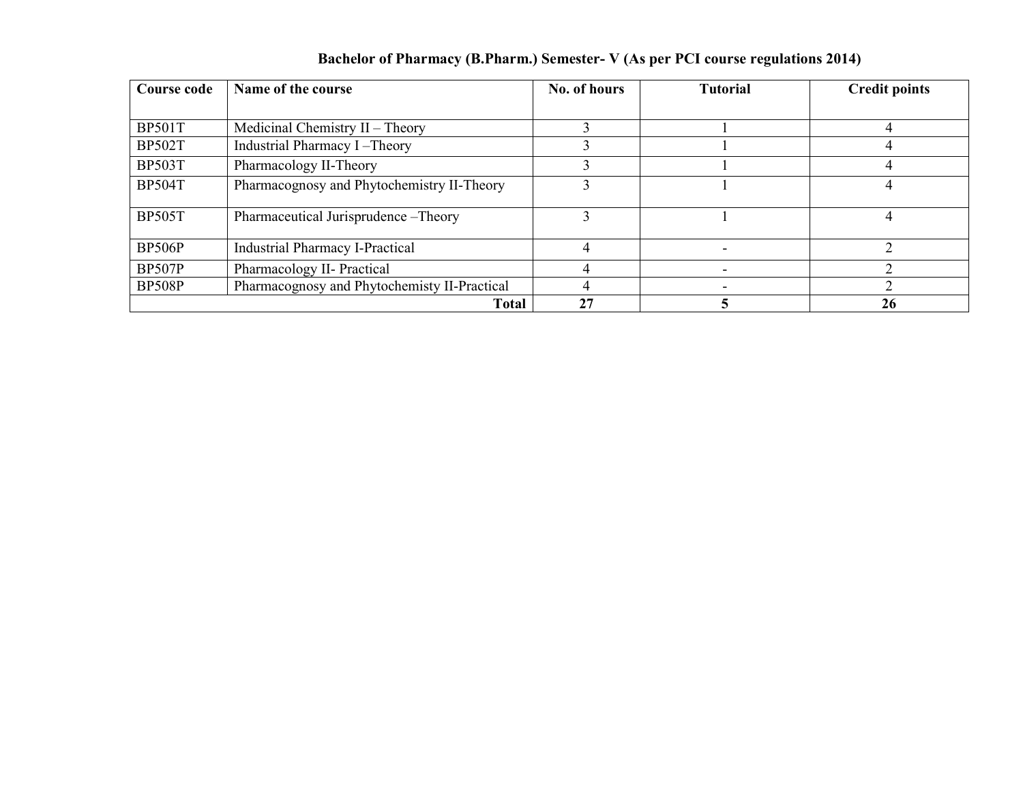| Course code   | Name of the course                           | No. of hours | <b>Tutorial</b> | <b>Credit points</b> |  |
|---------------|----------------------------------------------|--------------|-----------------|----------------------|--|
|               |                                              |              |                 |                      |  |
| <b>BP501T</b> | Medicinal Chemistry II - Theory              |              |                 |                      |  |
| <b>BP502T</b> | Industrial Pharmacy I-Theory                 |              |                 |                      |  |
| <b>BP503T</b> | Pharmacology II-Theory                       |              |                 |                      |  |
| <b>BP504T</b> | Pharmacognosy and Phytochemistry II-Theory   |              |                 |                      |  |
| <b>BP505T</b> | Pharmaceutical Jurisprudence - Theory        |              |                 |                      |  |
| <b>BP506P</b> | <b>Industrial Pharmacy I-Practical</b>       |              |                 |                      |  |
| <b>BP507P</b> | Pharmacology II- Practical                   |              |                 |                      |  |
| <b>BP508P</b> | Pharmacognosy and Phytochemisty II-Practical |              |                 |                      |  |
|               | <b>Total</b>                                 | 27           |                 | 26                   |  |

## Bachelor of Pharmacy (B.Pharm.) Semester- V (As per PCI course regulations 2014)